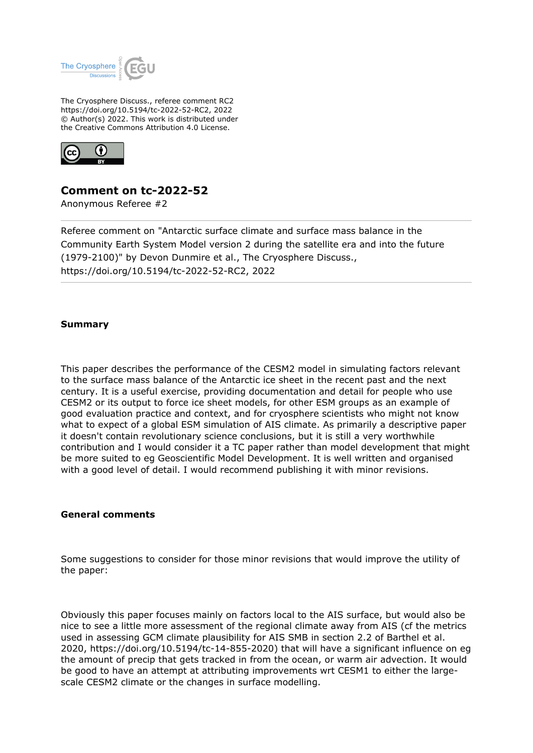

The Cryosphere Discuss., referee comment RC2 https://doi.org/10.5194/tc-2022-52-RC2, 2022 © Author(s) 2022. This work is distributed under the Creative Commons Attribution 4.0 License.



## **Comment on tc-2022-52**

Anonymous Referee #2

Referee comment on "Antarctic surface climate and surface mass balance in the Community Earth System Model version 2 during the satellite era and into the future (1979-2100)" by Devon Dunmire et al., The Cryosphere Discuss., https://doi.org/10.5194/tc-2022-52-RC2, 2022

## **Summary**

This paper describes the performance of the CESM2 model in simulating factors relevant to the surface mass balance of the Antarctic ice sheet in the recent past and the next century. It is a useful exercise, providing documentation and detail for people who use CESM2 or its output to force ice sheet models, for other ESM groups as an example of good evaluation practice and context, and for cryosphere scientists who might not know what to expect of a global ESM simulation of AIS climate. As primarily a descriptive paper it doesn't contain revolutionary science conclusions, but it is still a very worthwhile contribution and I would consider it a TC paper rather than model development that might be more suited to eg Geoscientific Model Development. It is well written and organised with a good level of detail. I would recommend publishing it with minor revisions.

## **General comments**

Some suggestions to consider for those minor revisions that would improve the utility of the paper:

Obviously this paper focuses mainly on factors local to the AIS surface, but would also be nice to see a little more assessment of the regional climate away from AIS (cf the metrics used in assessing GCM climate plausibility for AIS SMB in section 2.2 of Barthel et al. 2020, https://doi.org/10.5194/tc-14-855-2020) that will have a significant influence on eg the amount of precip that gets tracked in from the ocean, or warm air advection. It would be good to have an attempt at attributing improvements wrt CESM1 to either the largescale CESM2 climate or the changes in surface modelling.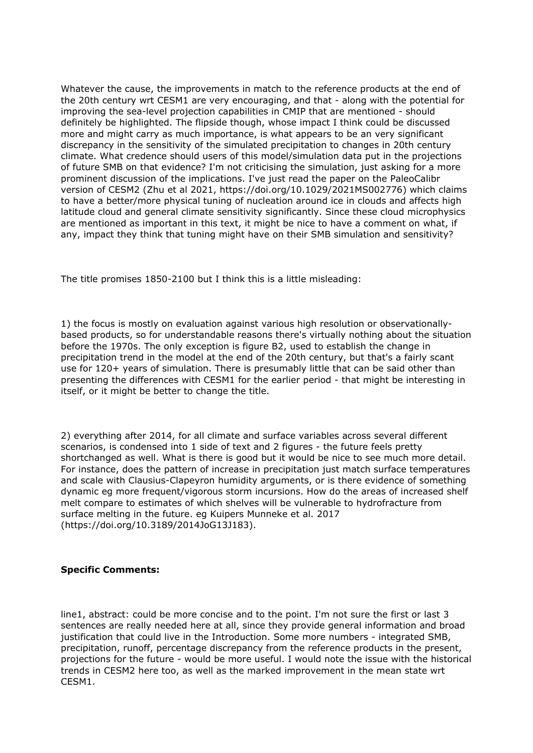Whatever the cause, the improvements in match to the reference products at the end of the 20th century wrt CESM1 are very encouraging, and that - along with the potential for improving the sea-level projection capabilities in CMIP that are mentioned - should definitely be highlighted. The flipside though, whose impact I think could be discussed more and might carry as much importance, is what appears to be an very significant discrepancy in the sensitivity of the simulated precipitation to changes in 20th century climate. What credence should users of this model/simulation data put in the projections of future SMB on that evidence? I'm not criticising the simulation, just asking for a more prominent discussion of the implications. I've just read the paper on the PaleoCalibr version of CESM2 (Zhu et al 2021, https://doi.org/10.1029/2021MS002776) which claims to have a better/more physical tuning of nucleation around ice in clouds and affects high latitude cloud and general climate sensitivity significantly. Since these cloud microphysics are mentioned as important in this text, it might be nice to have a comment on what, if any, impact they think that tuning might have on their SMB simulation and sensitivity?

The title promises 1850-2100 but I think this is a little misleading:

1) the focus is mostly on evaluation against various high resolution or observationallybased products, so for understandable reasons there's virtually nothing about the situation before the 1970s. The only exception is figure B2, used to establish the change in precipitation trend in the model at the end of the 20th century, but that's a fairly scant use for 120+ years of simulation. There is presumably little that can be said other than presenting the differences with CESM1 for the earlier period - that might be interesting in itself, or it might be better to change the title.

2) everything after 2014, for all climate and surface variables across several different scenarios, is condensed into 1 side of text and 2 figures - the future feels pretty shortchanged as well. What is there is good but it would be nice to see much more detail. For instance, does the pattern of increase in precipitation just match surface temperatures and scale with Clausius-Clapeyron humidity arguments, or is there evidence of something dynamic eg more frequent/vigorous storm incursions. How do the areas of increased shelf melt compare to estimates of which shelves will be vulnerable to hydrofracture from surface melting in the future. eg Kuipers Munneke et al. 2017 (https://doi.org/10.3189/2014JoG13J183).

## **Specific Comments:**

line1, abstract: could be more concise and to the point. I'm not sure the first or last 3 sentences are really needed here at all, since they provide general information and broad justification that could live in the Introduction. Some more numbers - integrated SMB, precipitation, runoff, percentage discrepancy from the reference products in the present, projections for the future - would be more useful. I would note the issue with the historical trends in CESM2 here too, as well as the marked improvement in the mean state wrt CESM1.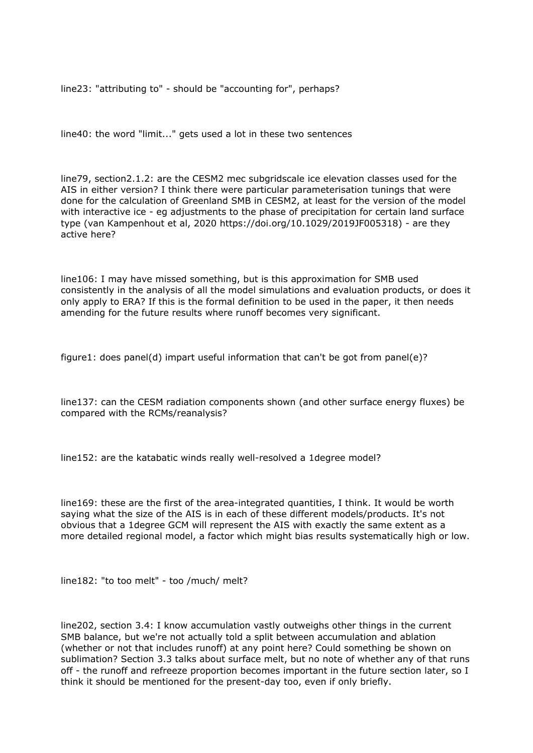line23: "attributing to" - should be "accounting for", perhaps?

line40: the word "limit..." gets used a lot in these two sentences

line79, section2.1.2: are the CESM2 mec subgridscale ice elevation classes used for the AIS in either version? I think there were particular parameterisation tunings that were done for the calculation of Greenland SMB in CESM2, at least for the version of the model with interactive ice - eg adjustments to the phase of precipitation for certain land surface type (van Kampenhout et al, 2020 https://doi.org/10.1029/2019JF005318) - are they active here?

line106: I may have missed something, but is this approximation for SMB used consistently in the analysis of all the model simulations and evaluation products, or does it only apply to ERA? If this is the formal definition to be used in the paper, it then needs amending for the future results where runoff becomes very significant.

figure1: does panel(d) impart useful information that can't be got from panel(e)?

line137: can the CESM radiation components shown (and other surface energy fluxes) be compared with the RCMs/reanalysis?

line152: are the katabatic winds really well-resolved a 1degree model?

line169: these are the first of the area-integrated quantities, I think. It would be worth saying what the size of the AIS is in each of these different models/products. It's not obvious that a 1degree GCM will represent the AIS with exactly the same extent as a more detailed regional model, a factor which might bias results systematically high or low.

line182: "to too melt" - too /much/ melt?

line202, section 3.4: I know accumulation vastly outweighs other things in the current SMB balance, but we're not actually told a split between accumulation and ablation (whether or not that includes runoff) at any point here? Could something be shown on sublimation? Section 3.3 talks about surface melt, but no note of whether any of that runs off - the runoff and refreeze proportion becomes important in the future section later, so I think it should be mentioned for the present-day too, even if only briefly.